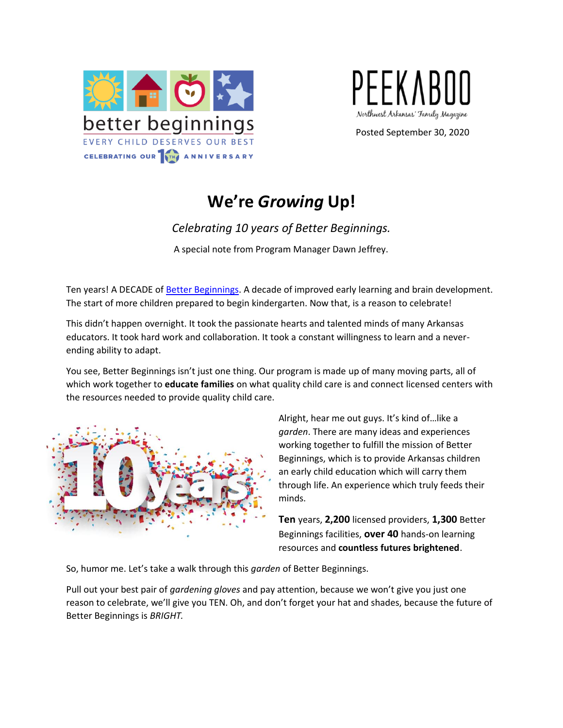



Posted September 30, 2020

# **We're** *Growing* **Up!**

## *Celebrating 10 years of Better Beginnings.*

A special note from Program Manager Dawn Jeffrey.

Ten years! A DECADE o[f Better Beginnings.](https://arbetterbeginnings.com/) A decade of improved early learning and brain development. The start of more children prepared to begin kindergarten. Now that, is a reason to celebrate!

This didn't happen overnight. It took the passionate hearts and talented minds of many Arkansas educators. It took hard work and collaboration. It took a constant willingness to learn and a neverending ability to adapt.

You see, Better Beginnings isn't just one thing. Our program is made up of many moving parts, all of which work together to **educate families** on what quality child care is and connect licensed centers with the resources needed to provide quality child care.



Alright, hear me out guys. It's kind of…like a *garden*. There are many ideas and experiences working together to fulfill the mission of Better Beginnings, which is to provide Arkansas children an early child education which will carry them through life. An experience which truly feeds their minds.

**Ten** years, **2,200** licensed providers, **1,300** Better Beginnings facilities, **over 40** hands-on learning resources and **countless futures brightened**.

So, humor me. Let's take a walk through this *garden* of Better Beginnings.

Pull out your best pair of *gardening gloves* and pay attention, because we won't give you just one reason to celebrate, we'll give you TEN. Oh, and don't forget your hat and shades, because the future of Better Beginnings is *BRIGHT.*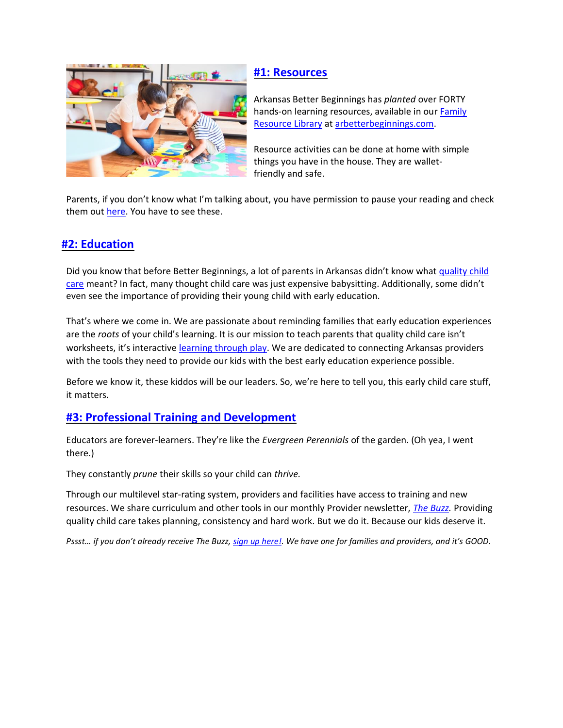

#### **[#1: Resources](https://arbetterbeginnings.com/parents-families/family-resource-library)**

Arkansas Better Beginnings has *planted* over FORTY hands-on learning resources, available in ou[r Family](https://arbetterbeginnings.com/parents-families/family-resource-library) [Resource Library](https://arbetterbeginnings.com/parents-families/family-resource-library) a[t arbetterbeginnings.com.](https://arbetterbeginnings.com/)

Resource activities can be done at home with simple things you have in the house. They are walletfriendly and safe.

Parents, if you don't know what I'm talking about, you have permission to pause your reading and check them out [here. Y](https://arbetterbeginnings.com/parents-families/family-resource-library)ou have to see these.

## **[#2: Education](https://www.youtube.com/watch?v=83icPnRVMDU&t=1s)**

Did you know that before Better Beginnings, a lot of parents in Arkansas didn't know what [quality child](https://www.youtube.com/watch?v=83icPnRVMDU&t=1s) [care](https://www.youtube.com/watch?v=83icPnRVMDU&t=1s) meant? In fact, many thought child care was just expensive babysitting. Additionally, some didn't even see the importance of providing their young child with early education.

That's where we come in. We are passionate about reminding families that early education experiences are the *roots* of your child's learning. It is our mission to teach parents that quality child care isn't worksheets, it's interactive [learning through play. W](https://arbetterbeginnings.com/parents-families/family-resource-library/play-is-learning-parent)e are dedicated to connecting Arkansas providers with the tools they need to provide our kids with the best early education experience possible.

Before we know it, these kiddos will be our leaders. So, we're here to tell you, this early child care stuff, it matters.

#### **[#3: Professional Training and Development](https://arbetterbeginnings.com/providers-teachers/providers)**

Educators are forever-learners. They're like the *Evergreen Perennials* of the garden. (Oh yea, I went there.)

They constantly *prune* their skills so your child can *thrive.*

Through our multilevel star-rating system, providers and facilities have access to training and new resources. We share curriculum and other tools in our monthly Provider newsletter, *[The Buzz.](https://arbetterbeginnings.com/about-us/media-center/better-beginnings-buzz)* Providing quality child care takes planning, consistency and hard work. But we do it. Because our kids deserve it.

*Pssst… if you don't already receive The Buzz, [sign up here!. W](https://visitor.constantcontact.com/manage/optin/ea?v=0010YFcABXlzqUUSr2rdueJVEBA0AWSHqzomgvck7kQdUGrvC-vfrLw81GDTcdzobYX1IaSQj-Dxubck6E2KshOPA%3D%3D)e have one for families and providers, and it's GOOD.*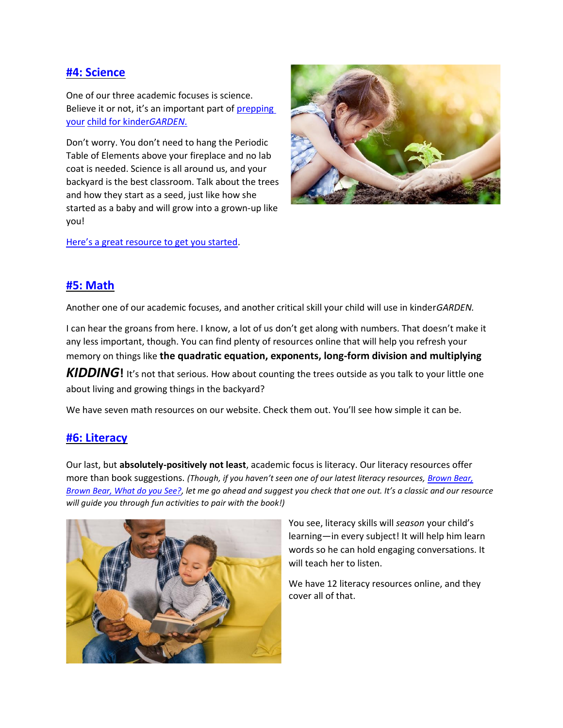#### **[#4: Science](https://arbetterbeginnings.com/parents-families/family-resource-library/science-parent)**

One of our three academic focuses is science. Believe it or not, it's an important part of [prepping](https://arbetterbeginnings.com/parents-families/resource-library/kindergarten-readiness-checklist)  [your](https://arbetterbeginnings.com/parents-families/resource-library/kindergarten-readiness-checklist) [child for kinder](https://arbetterbeginnings.com/parents-families/resource-library/kindergarten-readiness-checklist)*GARDEN*.

Don't worry. You don't need to hang the Periodic Table of Elements above your fireplace and no lab coat is needed. Science is all around us, and your backyard is the best classroom. Talk about the trees and how they start as a seed, just like how she started as a baby and will grow into a grown-up like you!



[Here's a great resource to get you started](https://arbetterbeginnings.com/parents-families/family-resource-library/play-explore-learn-outdoors)[.](https://arbetterbeginnings.com/parents-families/family-resource-library/play-explore-learn-outdoors)

#### **[#5: Math](https://arbetterbeginnings.com/parents-families/family-resource-library/talk-math-parent)**

Another one of our academic focuses, and another critical skill your child will use in kinder*GARDEN.*

I can hear the groans from here. I know, a lot of us don't get along with numbers. That doesn't make it any less important, though. You can find plenty of resources online that will help you refresh your memory on things like **the quadratic equation, exponents, long-form division and multiplying** 

**KIDDING!** It's not that serious. How about counting the trees outside as you talk to your little one about living and growing things in the backyard?

We have seven math resources on our website. Check them out. You'll see how simple it can be.

#### **[#6: Literacy](https://arbetterbeginnings.com/parents-familiesfamily-resource-library/literacy)**

Our last, but **absolutely-positively not least**, academic focus is literacy. Our literacy resources offer more than book suggestions. *(Though, if you haven't seen one of our latest literacy resources, [Brown Bear,](https://arbetterbeginnings.com/parents-familiesfamily-resource-library/literacy/what-do-you-see) [Brown Bear, What do you See?,](https://arbetterbeginnings.com/parents-familiesfamily-resource-library/literacy/what-do-you-see) let me go ahead and suggest you check that one out. It's a classic and our resource will guide you through fun activities to pair with the book!)*



You see, literacy skills will *season* your child's learning—in every subject! It will help him learn words so he can hold engaging conversations. It will teach her to listen.

We have 12 literacy resources online, and they cover all of that.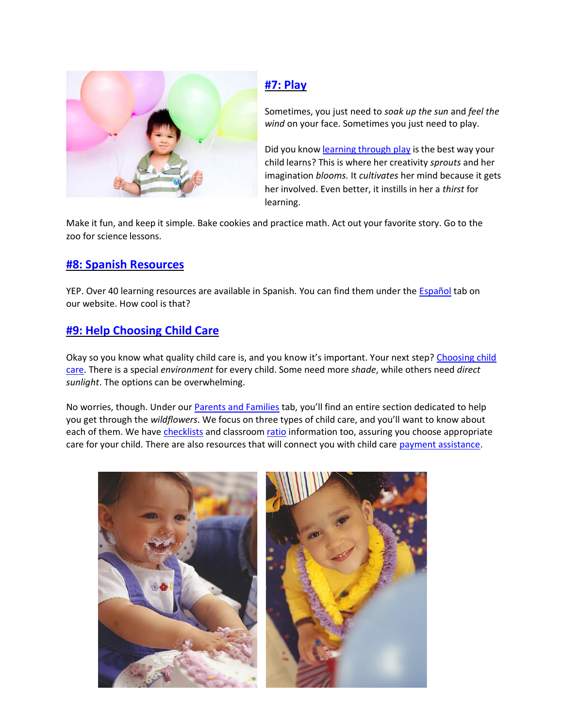

## **[#7: Play](https://arbetterbeginnings.com/parents-families/family-resource-library/play-is-learning-parent)**

Sometimes, you just need to *soak up the sun* and *feel the wind* on your face. Sometimes you just need to play.

Did you know [learning](https://arbetterbeginnings.com/parents-families/family-resource-library/play-is-learning-parent/play) through play is the best way your child learns? This is where her creativity *sprouts* and her imagination *blooms.* It *cultivates* her mind because it gets her involved. Even better, it instills in her a *thirst* for learning.

Make it fun, and keep it simple. Bake cookies and practice math. Act out your favorite story. Go to the zoo for science lessons.

### **[#8: Spanish Resources](https://arbetterbeginnings.com/espa%C3%B1ol)**

YEP. Over 40 learning resources are available in Spanish. You can find them under the [Español](https://arbetterbeginnings.com/espa%C3%B1ol/biblioteca-de-recursos-en-espa%C3%B1ol) tab on our website. How cool is that?

## **[#9: Help Choosing Child Care](https://arbetterbeginnings.com/parents-families/how-choose-child-care)**

Okay so you know what quality child care is, and you know it's important. Your next step? [Choosing child](https://arbetterbeginnings.com/parents-families/how-choose-child-care) [care. T](https://arbetterbeginnings.com/parents-families/how-choose-child-care)here is a special *environment* for every child. Some need more *shade*, while others need *direct sunlight*. The options can be overwhelming.

No worries, though. Under our **Parents and Families** tab, you'll find an entire section dedicated to help you get through the *wildflowers*. We focus on three types of child care, and you'll want to know about each of them. We have [checklists](https://arbetterbeginnings.com/parents-families/how-choose-child-care/choosing-appropriate-child-care/choosing-child-care) and classroom [ratio](https://arbetterbeginnings.com/parents-families/how-choose-child-care/choosing-appropriate-child-care/classroom-ratios) information too, assuring you choose appropriate care for your child. There are also resources that will connect you with child care [payment assistance.](https://arbetterbeginnings.com/parents-families/how-choose-child-care/help-paying-child-care)